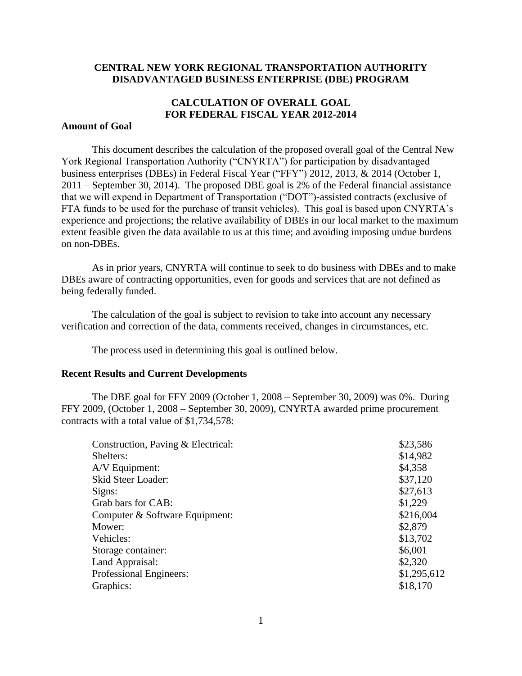### **CENTRAL NEW YORK REGIONAL TRANSPORTATION AUTHORITY DISADVANTAGED BUSINESS ENTERPRISE (DBE) PROGRAM**

# **CALCULATION OF OVERALL GOAL FOR FEDERAL FISCAL YEAR 2012-2014**

### **Amount of Goal**

This document describes the calculation of the proposed overall goal of the Central New York Regional Transportation Authority ("CNYRTA") for participation by disadvantaged business enterprises (DBEs) in Federal Fiscal Year ("FFY") 2012, 2013, & 2014 (October 1, 2011 – September 30, 2014). The proposed DBE goal is 2% of the Federal financial assistance that we will expend in Department of Transportation ("DOT")-assisted contracts (exclusive of FTA funds to be used for the purchase of transit vehicles). This goal is based upon CNYRTA's experience and projections; the relative availability of DBEs in our local market to the maximum extent feasible given the data available to us at this time; and avoiding imposing undue burdens on non-DBEs.

As in prior years, CNYRTA will continue to seek to do business with DBEs and to make DBEs aware of contracting opportunities, even for goods and services that are not defined as being federally funded.

The calculation of the goal is subject to revision to take into account any necessary verification and correction of the data, comments received, changes in circumstances, etc.

The process used in determining this goal is outlined below.

### **Recent Results and Current Developments**

The DBE goal for FFY 2009 (October 1, 2008 – September 30, 2009) was 0%. During FFY 2009, (October 1, 2008 – September 30, 2009), CNYRTA awarded prime procurement contracts with a total value of \$1,734,578:

| \$23,586    |
|-------------|
| \$14,982    |
| \$4,358     |
| \$37,120    |
| \$27,613    |
| \$1,229     |
| \$216,004   |
| \$2,879     |
| \$13,702    |
| \$6,001     |
| \$2,320     |
| \$1,295,612 |
| \$18,170    |
|             |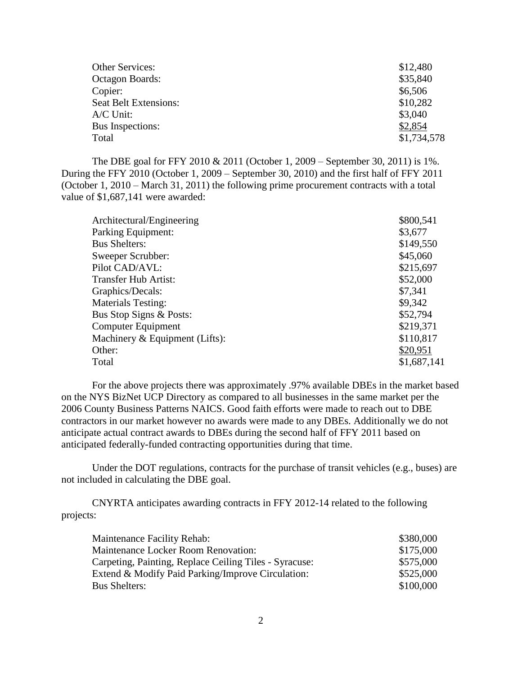| Other Services:              | \$12,480    |
|------------------------------|-------------|
| Octagon Boards:              | \$35,840    |
| Copier:                      | \$6,506     |
| <b>Seat Belt Extensions:</b> | \$10,282    |
| $A/C$ Unit:                  | \$3,040     |
| <b>Bus Inspections:</b>      | \$2,854     |
| Total                        | \$1,734,578 |
|                              |             |

The DBE goal for FFY 2010 & 2011 (October 1, 2009 – September 30, 2011) is 1%. During the FFY 2010 (October 1, 2009 – September 30, 2010) and the first half of FFY 2011 (October 1, 2010 – March 31, 2011) the following prime procurement contracts with a total value of \$1,687,141 were awarded:

| Architectural/Engineering      | \$800,541   |
|--------------------------------|-------------|
| Parking Equipment:             | \$3,677     |
| <b>Bus Shelters:</b>           | \$149,550   |
| Sweeper Scrubber:              | \$45,060    |
| Pilot CAD/AVL:                 | \$215,697   |
| Transfer Hub Artist:           | \$52,000    |
| Graphics/Decals:               | \$7,341     |
| <b>Materials Testing:</b>      | \$9,342     |
| Bus Stop Signs & Posts:        | \$52,794    |
| <b>Computer Equipment</b>      | \$219,371   |
| Machinery & Equipment (Lifts): | \$110,817   |
| Other:                         | \$20,951    |
| Total                          | \$1,687,141 |

For the above projects there was approximately .97% available DBEs in the market based on the NYS BizNet UCP Directory as compared to all businesses in the same market per the 2006 County Business Patterns NAICS. Good faith efforts were made to reach out to DBE contractors in our market however no awards were made to any DBEs. Additionally we do not anticipate actual contract awards to DBEs during the second half of FFY 2011 based on anticipated federally-funded contracting opportunities during that time.

Under the DOT regulations, contracts for the purchase of transit vehicles (e.g., buses) are not included in calculating the DBE goal.

CNYRTA anticipates awarding contracts in FFY 2012-14 related to the following projects:

| <b>Maintenance Facility Rehab:</b>                     | \$380,000 |
|--------------------------------------------------------|-----------|
| <b>Maintenance Locker Room Renovation:</b>             | \$175,000 |
| Carpeting, Painting, Replace Ceiling Tiles - Syracuse: | \$575,000 |
| Extend & Modify Paid Parking/Improve Circulation:      | \$525,000 |
| <b>Bus Shelters:</b>                                   | \$100,000 |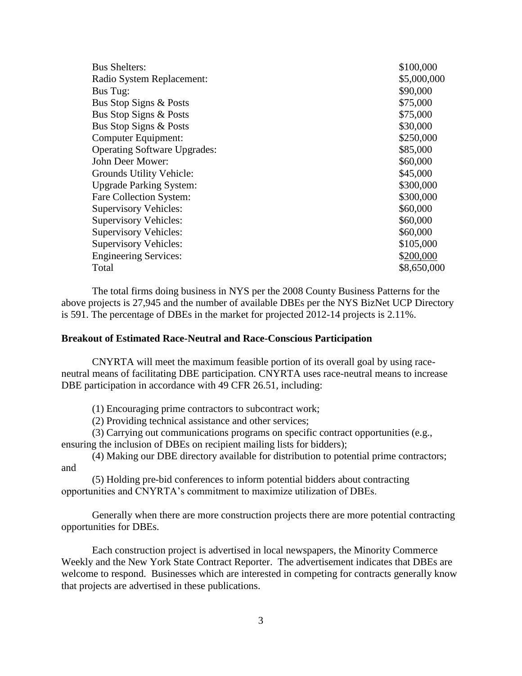| <b>Bus Shelters:</b>                | \$100,000   |
|-------------------------------------|-------------|
| Radio System Replacement:           | \$5,000,000 |
| Bus Tug:                            | \$90,000    |
| Bus Stop Signs & Posts              | \$75,000    |
| Bus Stop Signs & Posts              | \$75,000    |
| Bus Stop Signs & Posts              | \$30,000    |
| Computer Equipment:                 | \$250,000   |
| <b>Operating Software Upgrades:</b> | \$85,000    |
| John Deer Mower:                    | \$60,000    |
| Grounds Utility Vehicle:            | \$45,000    |
| <b>Upgrade Parking System:</b>      | \$300,000   |
| Fare Collection System:             | \$300,000   |
| <b>Supervisory Vehicles:</b>        | \$60,000    |
| <b>Supervisory Vehicles:</b>        | \$60,000    |
| <b>Supervisory Vehicles:</b>        | \$60,000    |
| <b>Supervisory Vehicles:</b>        | \$105,000   |
| <b>Engineering Services:</b>        | \$200,000   |
| Total                               | \$8,650,000 |

The total firms doing business in NYS per the 2008 County Business Patterns for the above projects is 27,945 and the number of available DBEs per the NYS BizNet UCP Directory is 591. The percentage of DBEs in the market for projected 2012-14 projects is 2.11%.

#### **Breakout of Estimated Race-Neutral and Race-Conscious Participation**

CNYRTA will meet the maximum feasible portion of its overall goal by using raceneutral means of facilitating DBE participation. CNYRTA uses race-neutral means to increase DBE participation in accordance with 49 CFR 26.51, including:

(1) Encouraging prime contractors to subcontract work;

(2) Providing technical assistance and other services;

(3) Carrying out communications programs on specific contract opportunities (e.g., ensuring the inclusion of DBEs on recipient mailing lists for bidders);

(4) Making our DBE directory available for distribution to potential prime contractors; and

(5) Holding pre-bid conferences to inform potential bidders about contracting opportunities and CNYRTA's commitment to maximize utilization of DBEs.

Generally when there are more construction projects there are more potential contracting opportunities for DBEs.

Each construction project is advertised in local newspapers, the Minority Commerce Weekly and the New York State Contract Reporter. The advertisement indicates that DBEs are welcome to respond. Businesses which are interested in competing for contracts generally know that projects are advertised in these publications.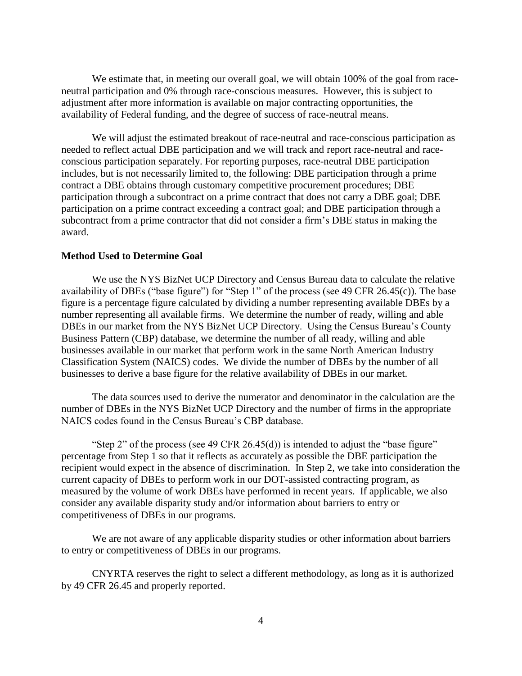We estimate that, in meeting our overall goal, we will obtain 100% of the goal from raceneutral participation and 0% through race-conscious measures. However, this is subject to adjustment after more information is available on major contracting opportunities, the availability of Federal funding, and the degree of success of race-neutral means.

We will adjust the estimated breakout of race-neutral and race-conscious participation as needed to reflect actual DBE participation and we will track and report race-neutral and raceconscious participation separately. For reporting purposes, race-neutral DBE participation includes, but is not necessarily limited to, the following: DBE participation through a prime contract a DBE obtains through customary competitive procurement procedures; DBE participation through a subcontract on a prime contract that does not carry a DBE goal; DBE participation on a prime contract exceeding a contract goal; and DBE participation through a subcontract from a prime contractor that did not consider a firm's DBE status in making the award.

#### **Method Used to Determine Goal**

We use the NYS BizNet UCP Directory and Census Bureau data to calculate the relative availability of DBEs ("base figure") for "Step 1" of the process (see 49 CFR 26.45(c)). The base figure is a percentage figure calculated by dividing a number representing available DBEs by a number representing all available firms. We determine the number of ready, willing and able DBEs in our market from the NYS BizNet UCP Directory. Using the Census Bureau's County Business Pattern (CBP) database, we determine the number of all ready, willing and able businesses available in our market that perform work in the same North American Industry Classification System (NAICS) codes. We divide the number of DBEs by the number of all businesses to derive a base figure for the relative availability of DBEs in our market.

The data sources used to derive the numerator and denominator in the calculation are the number of DBEs in the NYS BizNet UCP Directory and the number of firms in the appropriate NAICS codes found in the Census Bureau's CBP database.

"Step 2" of the process (see 49 CFR 26.45(d)) is intended to adjust the "base figure" percentage from Step 1 so that it reflects as accurately as possible the DBE participation the recipient would expect in the absence of discrimination. In Step 2, we take into consideration the current capacity of DBEs to perform work in our DOT-assisted contracting program, as measured by the volume of work DBEs have performed in recent years. If applicable, we also consider any available disparity study and/or information about barriers to entry or competitiveness of DBEs in our programs.

We are not aware of any applicable disparity studies or other information about barriers to entry or competitiveness of DBEs in our programs.

CNYRTA reserves the right to select a different methodology, as long as it is authorized by 49 CFR 26.45 and properly reported.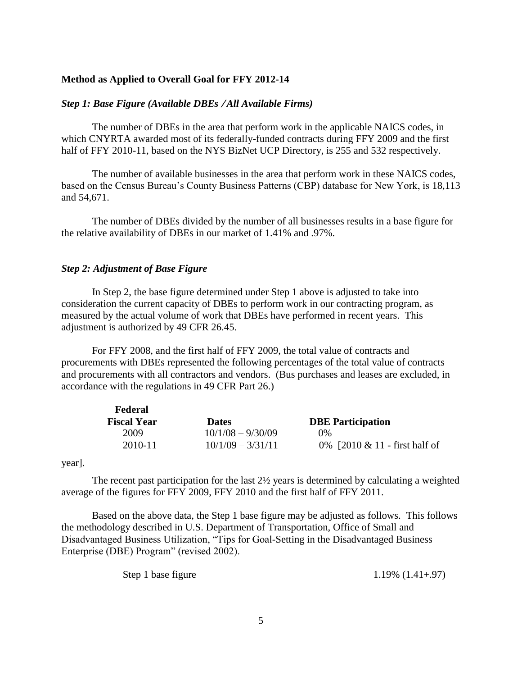#### **Method as Applied to Overall Goal for FFY 2012-14**

#### *Step 1: Base Figure (Available DBEs All Available Firms)*

The number of DBEs in the area that perform work in the applicable NAICS codes, in which CNYRTA awarded most of its federally-funded contracts during FFY 2009 and the first half of FFY 2010-11, based on the NYS BizNet UCP Directory, is 255 and 532 respectively.

The number of available businesses in the area that perform work in these NAICS codes, based on the Census Bureau's County Business Patterns (CBP) database for New York, is 18,113 and 54,671.

The number of DBEs divided by the number of all businesses results in a base figure for the relative availability of DBEs in our market of 1.41% and .97%.

#### *Step 2: Adjustment of Base Figure*

In Step 2, the base figure determined under Step 1 above is adjusted to take into consideration the current capacity of DBEs to perform work in our contracting program, as measured by the actual volume of work that DBEs have performed in recent years. This adjustment is authorized by 49 CFR 26.45.

For FFY 2008, and the first half of FFY 2009, the total value of contracts and procurements with DBEs represented the following percentages of the total value of contracts and procurements with all contractors and vendors. (Bus purchases and leases are excluded, in accordance with the regulations in 49 CFR Part 26.)

| Federal            |                     |                                  |
|--------------------|---------------------|----------------------------------|
| <b>Fiscal Year</b> | <b>Dates</b>        | <b>DBE</b> Participation         |
| 2009               | $10/1/08 - 9/30/09$ | $0\%$                            |
| 2010-11            | $10/1/09 - 3/31/11$ | 0% $[2010 \& 11$ - first half of |

year].

The recent past participation for the last  $2\frac{1}{2}$  years is determined by calculating a weighted average of the figures for FFY 2009, FFY 2010 and the first half of FFY 2011.

Based on the above data, the Step 1 base figure may be adjusted as follows. This follows the methodology described in U.S. Department of Transportation, Office of Small and Disadvantaged Business Utilization, "Tips for Goal-Setting in the Disadvantaged Business Enterprise (DBE) Program" (revised 2002).

|  | Step 1 base figure | $1.19\%$ $(1.41+.97)$ |  |  |
|--|--------------------|-----------------------|--|--|
|--|--------------------|-----------------------|--|--|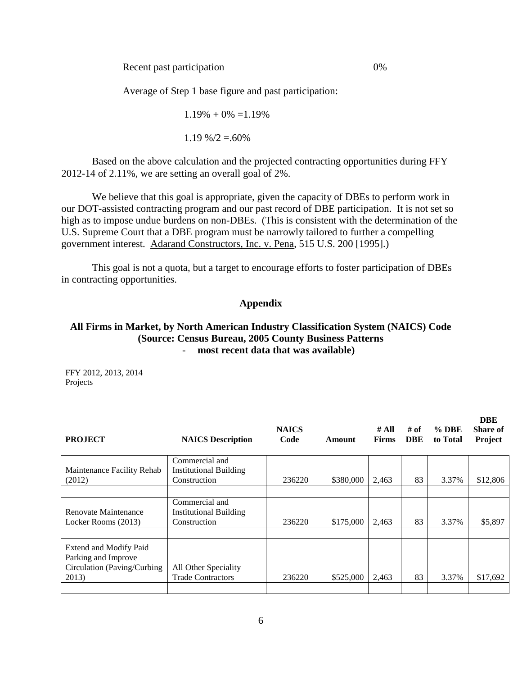Recent past participation 0%

Average of Step 1 base figure and past participation:

 $1.19\% + 0\% = 1.19\%$ 

 $1.19\% / 2 = 60\%$ 

Based on the above calculation and the projected contracting opportunities during FFY 2012-14 of 2.11%, we are setting an overall goal of 2%.

We believe that this goal is appropriate, given the capacity of DBEs to perform work in our DOT-assisted contracting program and our past record of DBE participation. It is not set so high as to impose undue burdens on non-DBEs. (This is consistent with the determination of the U.S. Supreme Court that a DBE program must be narrowly tailored to further a compelling government interest. Adarand Constructors, Inc. v. Pena, 515 U.S. 200 [1995].)

This goal is not a quota, but a target to encourage efforts to foster participation of DBEs in contracting opportunities.

#### **Appendix**

## **All Firms in Market, by North American Industry Classification System (NAICS) Code (Source: Census Bureau, 2005 County Business Patterns** - **most recent data that was available)**

FFY 2012, 2013, 2014 Projects

| <b>PROJECT</b>                                | <b>NAICS</b> Description                         | <b>NAICS</b><br>Code | Amount    | # All<br><b>Firms</b> | # of<br><b>DBE</b> | $%$ DBE<br>to Total | <b>DBE</b><br>Share of<br>Project |
|-----------------------------------------------|--------------------------------------------------|----------------------|-----------|-----------------------|--------------------|---------------------|-----------------------------------|
| Maintenance Facility Rehab                    | Commercial and<br><b>Institutional Building</b>  |                      |           |                       |                    |                     |                                   |
| (2012)                                        | Construction                                     | 236220               | \$380,000 | 2,463                 | 83                 | 3.37%               | \$12,806                          |
|                                               |                                                  |                      |           |                       |                    |                     |                                   |
| Renovate Maintenance                          | Commercial and<br><b>Institutional Building</b>  |                      |           |                       |                    |                     |                                   |
| Locker Rooms (2013)                           | Construction                                     | 236220               | \$175,000 | 2.463                 | 83                 | 3.37%               | \$5,897                           |
|                                               |                                                  |                      |           |                       |                    |                     |                                   |
| Extend and Modify Paid<br>Parking and Improve |                                                  |                      |           |                       |                    |                     |                                   |
| Circulation (Paving/Curbing)<br>2013)         | All Other Speciality<br><b>Trade Contractors</b> | 236220               | \$525,000 | 2,463                 | 83                 | 3.37%               | \$17,692                          |
|                                               |                                                  |                      |           |                       |                    |                     |                                   |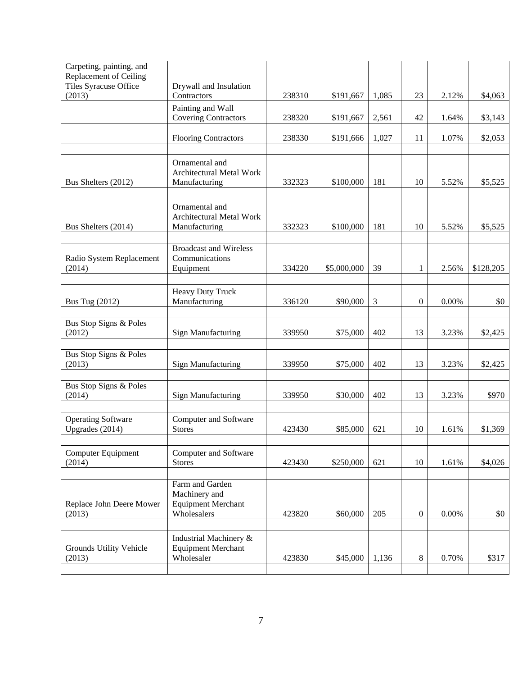| Carpeting, painting, and<br>Replacement of Ceiling<br>Tiles Syracuse Office<br>(2013) | Drywall and Insulation<br>Contractors                                        | 238310 | \$191,667   | 1,085 | 23               | 2.12%    | \$4,063   |
|---------------------------------------------------------------------------------------|------------------------------------------------------------------------------|--------|-------------|-------|------------------|----------|-----------|
|                                                                                       | Painting and Wall<br><b>Covering Contractors</b>                             | 238320 | \$191,667   | 2,561 | 42               | 1.64%    | \$3,143   |
|                                                                                       | <b>Flooring Contractors</b>                                                  | 238330 | \$191,666   | 1,027 | 11               | 1.07%    | \$2,053   |
| Bus Shelters (2012)                                                                   | Ornamental and<br><b>Architectural Metal Work</b><br>Manufacturing           | 332323 | \$100,000   | 181   | 10               | 5.52%    | \$5,525   |
| Bus Shelters (2014)                                                                   | Ornamental and<br>Architectural Metal Work<br>Manufacturing                  | 332323 | \$100,000   | 181   | 10               | 5.52%    | \$5,525   |
| Radio System Replacement<br>(2014)                                                    | <b>Broadcast and Wireless</b><br>Communications<br>Equipment                 | 334220 | \$5,000,000 | 39    | $\mathbf{1}$     | 2.56%    | \$128,205 |
| <b>Bus Tug (2012)</b>                                                                 | <b>Heavy Duty Truck</b><br>Manufacturing                                     | 336120 | \$90,000    | 3     | $\boldsymbol{0}$ | 0.00%    | \$0       |
| Bus Stop Signs & Poles<br>(2012)                                                      | <b>Sign Manufacturing</b>                                                    | 339950 | \$75,000    | 402   | 13               | 3.23%    | \$2,425   |
| Bus Stop Signs & Poles<br>(2013)                                                      | Sign Manufacturing                                                           | 339950 | \$75,000    | 402   | 13               | 3.23%    | \$2,425   |
| Bus Stop Signs & Poles<br>(2014)                                                      | Sign Manufacturing                                                           | 339950 | \$30,000    | 402   | 13               | 3.23%    | \$970     |
| <b>Operating Software</b><br>Upgrades (2014)                                          | Computer and Software<br><b>Stores</b>                                       | 423430 | \$85,000    | 621   | 10               | 1.61%    | \$1,369   |
| <b>Computer Equipment</b><br>(2014)                                                   | Computer and Software<br><b>Stores</b>                                       | 423430 | \$250,000   | 621   | 10               | 1.61%    | \$4,026   |
| Replace John Deere Mower<br>(2013)                                                    | Farm and Garden<br>Machinery and<br><b>Equipment Merchant</b><br>Wholesalers | 423820 | \$60,000    | 205   | $\boldsymbol{0}$ | $0.00\%$ | \$0       |
| Grounds Utility Vehicle<br>(2013)                                                     | Industrial Machinery &<br><b>Equipment Merchant</b><br>Wholesaler            | 423830 | \$45,000    | 1,136 | $8\,$            | 0.70%    | \$317     |